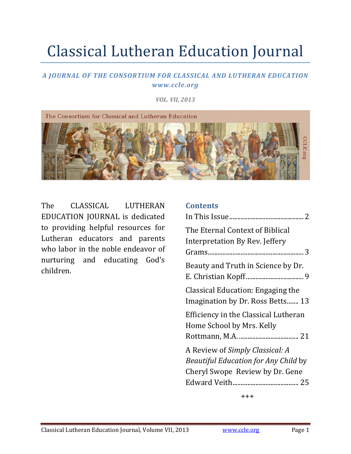# Classical Lutheran Education Journal

#### *A JOURNAL OF THE CONSORTIUM FOR CLASSICAL AND LUTHERAN EDUCATION www.ccle.org*

*VOL. VII, 2013*



The CLASSICAL LUTHERAN EDUCATION JOURNAL is dedicated to providing helpful resources for Lutheran educators and parents who labor in the noble endeavor of nurturing and educating God's children. 

#### **Contents**

| The Eternal Context of Biblical      |
|--------------------------------------|
| Interpretation By Rev. Jeffery       |
|                                      |
| Beauty and Truth in Science by Dr.   |
|                                      |
| Classical Education: Engaging the    |
| Imagination by Dr. Ross Betts 13     |
| Efficiency in the Classical Lutheran |
| Home School by Mrs. Kelly            |
|                                      |
| A Review of Simply Classical: A      |
| Beautiful Education for Any Child by |
| Cheryl Swope Review by Dr. Gene      |
|                                      |
|                                      |

+++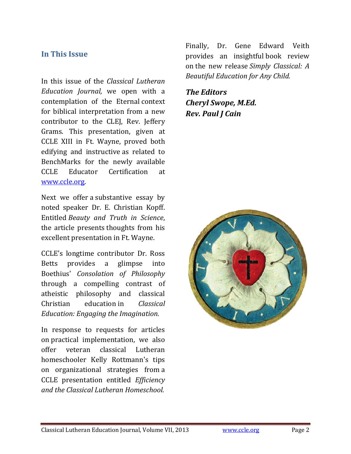### **In This Issue**

In this issue of the *Classical Lutheran Education Journal,* we open with a contemplation of the Eternal context for biblical interpretation from a new contributor to the CLEJ, Rev. Jeffery Grams. This presentation, given at CCLE XIII in Ft. Wayne, proved both edifying and instructive as related to BenchMarks for the newly available CCLE Educator Certification at www.ccle.org. 

Next we offer a substantive essay by noted speaker Dr. E. Christian Kopff. Entitled *Beauty and Truth in Science*, the article presents thoughts from his excellent presentation in Ft. Wayne.

CCLE's longtime contributor Dr. Ross Betts provides a glimpse into Boethius' *Consolation of Philosophy* through a compelling contrast of atheistic philosophy and classical Christian education in *Classical Education: Engaging the Imagination.* 

In response to requests for articles on practical implementation, we also offer veteran classical Lutheran homeschooler Kelly Rottmann's tips on organizational strategies from a CCLE presentation entitled *Efficiency and the Classical Lutheran Homeschool.* 

Finally, Dr. Gene Edward Veith provides an insightful book review on the new release *Simply Classical: A Beautiful Education for Any Child.*

*The Editors Cheryl Swope, M.Ed. Rev. Paul J Cain*

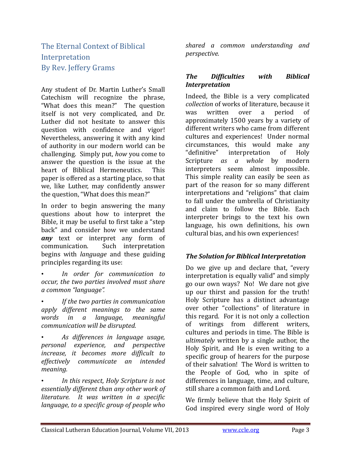## The Eternal Context of Biblical Interpretation By Rev. Jeffery Grams

Any student of Dr. Martin Luther's Small Catechism will recognize the phrase, "What does this mean?" The question itself is not very complicated, and Dr. Luther did not hesitate to answer this question with confidence and vigor! Nevertheless, answering it with any kind of authority in our modern world can be challenging. Simply put, how you come to answer the question is the issue at the heart of Biblical Hermeneutics. This paper is offered as a starting place, so that we, like Luther, may confidently answer the question, "What does this mean?"

In order to begin answering the many questions about how to interpret the Bible, it may be useful to first take a "step" back" and consider how we understand **any** text or interpret any form of communication. Such interpretation begins with *language* and these guiding principles regarding its use:

- *In order for communication to occur, the two parties involved must share a common "language".*
- *If the two parties in communication apply different meanings to the same words in a language, meaningful communication will be disrupted.*
- *As differences in language usage, personal experience, and perspective increase, it becomes more difficult to effectively communicate an intended meaning.*

• *In this respect, Holy Scripture is not essentially different than any other work of literature. It was written in a specific language, to a specific group of people who*

*shared a common understanding and perspective.*

#### *The Difficulties with Biblical Interpretation*

Indeed, the Bible is a very complicated *collection* of works of literature, because it was written over a period of approximately 1500 years by a variety of different writers who came from different cultures and experiences! Under normal circumstances, this would make any "definitive" interpretation of Holy Scripture *as a whole* by modern interpreters seem almost impossible. This simple reality can easily be seen as part of the reason for so many different interpretations and "religions" that claim to fall under the umbrella of Christianity and claim to follow the Bible. Each interpreter brings to the text his own language, his own definitions, his own cultural bias, and his own experiences!

#### *The Solution for Biblical Interpretation*

Do we give up and declare that, "every interpretation is equally valid" and simply go our own ways? No! We dare not give up our thirst and passion for the truth! Holy Scripture has a distinct advantage over other "collections" of literature in this regard. For it is not only a collection of writings from different writers, cultures and periods in time. The Bible is *ultimately* written by a single author, the Holy Spirit, and He is even writing to a specific group of hearers for the purpose of their salvation! The Word is written to the People of God, who in spite of differences in language, time, and culture, still share a common faith and Lord.

We firmly believe that the Holy Spirit of God inspired every single word of Holy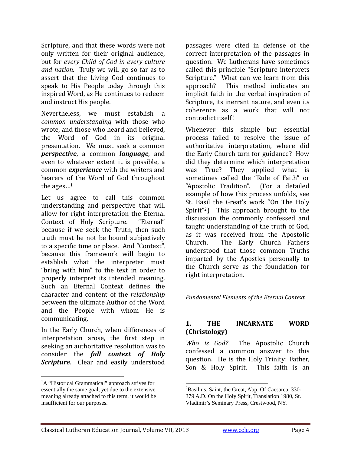Scripture, and that these words were not only written for their original audience, but for *every Child of God in every culture and nation.* Truly we will go so far as to assert that the Living God continues to speak to His People today through this inspired Word, as He continues to redeem and instruct His people.

Nevertheless, we must establish a *common understanding* with those who wrote, and those who heard and believed, the Word of God in its original presentation. We must seek a common *perspective*, a common *language*, and even to whatever extent it is possible, a common *experience* with the writers and hearers of the Word of God throughout the ages $\ldots$ <sup>1</sup>

Let us agree to call this common understanding and perspective that will allow for right interpretation the Eternal Context of Holy Scripture. "Eternal" because if we seek the Truth, then such truth must be not be bound subjectively to a specific time or place. And "Context", because this framework will begin to establish what the interpreter must "bring with  $\lim$ " to the text in order to properly interpret its intended meaning. Such an Eternal Context defines the character and content of the *relationship* between the ultimate Author of the Word and the People with whom He is communicating. 

In the Early Church, when differences of interpretation arose, the first step in seeking an authoritative resolution was to consider the *full context of Holy* **Scripture**. Clear and easily understood passages were cited in defense of the correct interpretation of the passages in question. We Lutherans have sometimes called this principle "Scripture interprets Scripture." What can we learn from this approach? This method indicates an implicit faith in the verbal inspiration of Scripture, its inerrant nature, and even its coherence as a work that will not contradict itself!

Whenever this simple but essential process failed to resolve the issue of authoritative interpretation, where did the Early Church turn for guidance? How did they determine which interpretation was True? They applied what is sometimes called the "Rule of Faith" or "Apostolic Tradition". (For a detailed example of how this process unfolds, see St. Basil the Great's work "On The Holy Spirit<sup>"2</sup>) This approach brought to the discussion the commonly confessed and taught understanding of the truth of God, as it was received from the Apostolic Church. The Early Church Fathers understood that those common Truths imparted by the Apostles personally to the Church serve as the foundation for right interpretation.

*Fundamental Elements of the Eternal Context*

#### **1. THE INCARNATE WORD (Christology)**

*Who is God?* The Apostolic Church confessed a common answer to this question. He is the Holy Trinity: Father, Son & Holy Spirit. This faith is an

 <sup>1</sup>A "Historical Grammatical" approach strives for essentially the same goal, yet due to the extensive meaning already attached to this term, it would be insufficient for our purposes.

 <sup>2</sup>Basilius, Saint, the Great, Abp. Of Caesarea, 330-379 A.D. On the Holy Spirit, Translation 1980, St. Vladimir's Seminary Press, Crestwood, NY.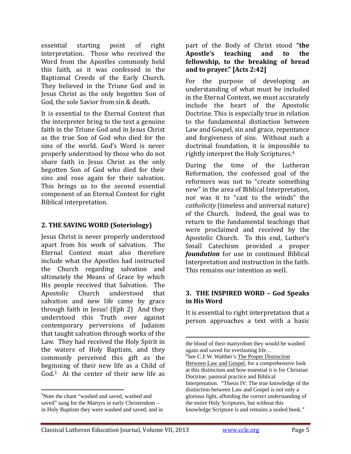essential starting point of right interpretation. Those who received the Word from the Apostles commonly held this faith, as it was confessed in the Baptismal Creeds of the Early Church. They believed in the Triune God and in Iesus Christ as the only begotten Son of God, the sole Savior from sin & death.

It is essential to the Eternal Context that the interpreter bring to the text a genuine faith in the Triune God and in Jesus Christ as the true Son of God who died for the sins of the world. God's Word is never properly understood by those who do not share faith in Jesus Christ as the only begotten Son of God who died for their sins and rose again for their salvation. This brings us to the second essential component of an Eternal Context for right Biblical interpretation.

#### **2. THE SAVING WORD (Soteriology)**

Jesus Christ is never properly understood apart from his work of salvation. The Eternal Context must also therefore include what the Apostles had instructed the Church regarding salvation and ultimately the Means of Grace by which His people received that Salvation. The Apostolic Church understood that salvation and new life came by grace through faith in Jesus! (Eph  $2$ ) And they understood this Truth over against contemporary perversions of Judaism that taught salvation through works of the Law. They had received the Holy Spirit in the waters of Holy Baptism, and they commonly perceived this gift as the beginning of their new life as a Child of God.<sup>3</sup> At the center of their new life as

part of the Body of Christ stood "the **Apostle's teaching and to the fellowship, to the breaking of bread and to prayer." [Acts 2:42]**

For the purpose of developing an understanding of what must be included in the Eternal Context, we must accurately include the heart of the Apostolic Doctrine. This is especially true in relation to the fundamental distinction between Law and Gospel, sin and grace, repentance and forgiveness of sins. Without such a doctrinal foundation, it is impossible to rightly interpret the Holy Scriptures.<sup>4</sup>

During the time of the Lutheran Reformation, the confessed goal of the reformers was not to "create something new" in the area of Biblical Interpretation, nor was it to "cast to the winds" the *catholicity* (timeless and universal nature) of the Church. Indeed, the goal was to return to the fundamental teachings that were proclaimed and received by the Apostolic Church. To this end, Luther's Small Catechism provided a proper *foundation* for use in continued Biblical Interpretation and instruction in the faith. This remains our intention as well.

#### **3. THE INSPIRED WORD – God Speaks in His Word**

It is essential to right interpretation that a person approaches a text with a basic 

<sup>&</sup>lt;sup>3</sup>Note the chant "washed and saved, washed and saved" sung for the Martyrs in early Christendom – in Holy Baptism they were washed and saved, and in

the blood of their martyrdom they would be washed again and saved for everlasting life… <sup>4</sup>See C.F.W. Walther's The Proper Distinction Between Law and Gospel, for a comprehensive look at this distinction and how essential it is for Christian Doctrine, pastoral practice and Biblical Interpretation. "Thesis IV: The true knowledge of the distinction between Law and Gospel is not only a glorious light, affording the correct understanding of the entire Holy Scriptures, but without this knowledge Scripture is and remains a sealed book."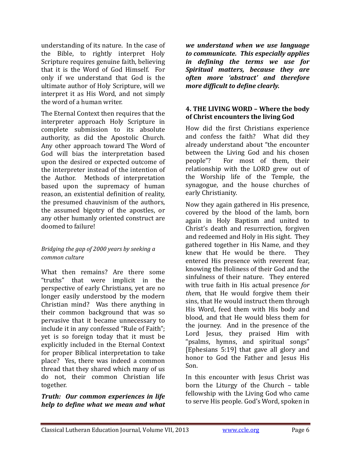understanding of its nature. In the case of the Bible, to rightly interpret Holy Scripture requires genuine faith, believing that it is the Word of God Himself. For only if we understand that God is the ultimate author of Holy Scripture, will we interpret it as His Word, and not simply the word of a human writer.

The Eternal Context then requires that the interpreter approach Holy Scripture in complete submission to its absolute authority, as did the Apostolic Church. Any other approach toward The Word of God will bias the interpretation based upon the desired or expected outcome of the interpreter instead of the intention of the Author. Methods of interpretation based upon the supremacy of human reason, an existential definition of reality, the presumed chauvinism of the authors, the assumed bigotry of the apostles, or any other humanly oriented construct are doomed to failure!

#### *Bridging the gap of 2000 years by seeking a common culture*

What then remains? Are there some "truths" that were implicit in the perspective of early Christians, yet are no longer easily understood by the modern Christian mind? Was there anything in their common background that was so pervasive that it became unnecessary to include it in any confessed "Rule of Faith"; yet is so foreign today that it must be explicitly included in the Eternal Context for proper Biblical interpretation to take place? Yes, there was indeed a common thread that they shared which many of us do not, their common Christian life together. 

#### *Truth: Our common experiences in life help to define what we mean and what*

*we understand when we use language to communicate. This especially applies in defining the terms we use for Spiritual matters, because they are often more 'abstract' and therefore more difficult to define clearly.*

#### **4. THE LIVING WORD – Where the body of Christ encounters the living God**

How did the first Christians experience and confess the faith? What did they already understand about "the encounter between the Living God and his chosen people"? For most of them, their relationship with the LORD grew out of the Worship life of the Temple, the synagogue, and the house churches of early Christianity.

Now they again gathered in His presence, covered by the blood of the lamb, born again in Holy Baptism and united to Christ's death and resurrection, forgiven and redeemed and Holy in His sight. They gathered together in His Name, and they knew that He would be there. They entered His presence with reverent fear, knowing the Holiness of their God and the sinfulness of their nature. They entered with true faith in His actual presence for *them*, that He would forgive them their sins, that He would instruct them through His Word, feed them with His body and blood, and that He would bless them for the journey. And in the presence of the Lord Jesus, they praised Him with "psalms, hymns, and spiritual songs" [Ephesians 5:19] that gave all glory and honor to God the Father and Jesus His Son. 

In this encounter with Jesus Christ was born the Liturgy of the Church  $-$  table fellowship with the Living God who came to serve His people. God's Word, spoken in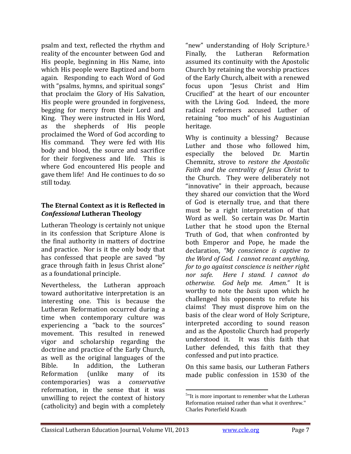psalm and text, reflected the rhythm and reality of the encounter between God and His people, beginning in His Name, into which His people were Baptized and born again. Responding to each Word of God with "psalms, hymns, and spiritual songs" that proclaim the Glory of His Salvation, His people were grounded in forgiveness, begging for mercy from their Lord and King. They were instructed in His Word. as the shepherds of His people proclaimed the Word of God according to His command. They were fed with His body and blood, the source and sacrifice for their forgiveness and life. This is where God encountered His people and gave them life! And He continues to do so still today.

#### **The Eternal Context as it is Reflected in** *Confessional* **Lutheran Theology**

Lutheran Theology is certainly not unique in its confession that Scripture Alone is the final authority in matters of doctrine and practice. Nor is it the only body that has confessed that people are saved "by grace through faith in Jesus Christ alone" as a foundational principle.

Nevertheless, the Lutheran approach toward authoritative interpretation is an interesting one. This is because the Lutheran Reformation occurred during a time when contemporary culture was experiencing a "back to the sources" movement. This resulted in renewed vigor and scholarship regarding the doctrine and practice of the Early Church, as well as the original languages of the Bible. In addition, the Lutheran Reformation (unlike many of its contemporaries) was a *conservative* reformation, in the sense that it was unwilling to reject the context of history (catholicity) and begin with a completely

"new" understanding of Holy Scripture.<sup>5</sup> Finally, the Lutheran Reformation assumed its continuity with the Apostolic Church by retaining the worship practices of the Early Church, albeit with a renewed focus upon "Jesus Christ and Him Crucified" at the heart of our encounter with the Living God. Indeed, the more radical reformers accused Luther of retaining "too much" of his Augustinian heritage. 

Why is continuity a blessing? Because Luther and those who followed him, especially the beloved Dr. Martin Chemnitz, strove to *restore the Apostolic Faith and the centrality of Jesus Christ* to the Church. They were deliberately not "innovative" in their approach, because they shared our conviction that the Word of God is eternally true, and that there must be a right interpretation of that Word as well. So certain was Dr. Martin Luther that he stood upon the Eternal Truth of God, that when confronted by both Emperor and Pope, he made the declaration, *"My conscience is captive to the Word of God. I cannot recant anything, for to go against conscience is neither right nor safe. Here I stand. I cannot do otherwise. God help me. Amen."* It is worthy to note the *basis* upon which he challenged his opponents to refute his claims! They must disprove him on the basis of the clear word of Holy Scripture, interpreted according to sound reason and as the Apostolic Church had properly understood it. It was this faith that Luther defended, this faith that they confessed and put into practice.

On this same basis, our Lutheran Fathers made public confession in 1530 of the

<sup>&</sup>lt;sup>5</sup>"It is more important to remember what the Lutheran Reformation retained rather than what it overthrew." Charles Porterfield Krauth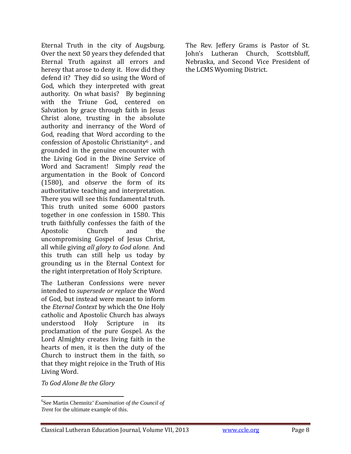Eternal Truth in the city of Augsburg. Over the next 50 years they defended that Eternal Truth against all errors and heresy that arose to deny it. How did they defend it? They did so using the Word of God, which they interpreted with great authority. On what basis? By beginning with the Triune God, centered on Salvation by grace through faith in Jesus Christ alone, trusting in the absolute authority and inerrancy of the Word of God, reading that Word according to the confession of Apostolic Christianity<sup>6</sup>, and grounded in the genuine encounter with the Living God in the Divine Service of Word and Sacrament! Simply *read* the argumentation in the Book of Concord (1580), and *observe* the form of its authoritative teaching and interpretation. There you will see this fundamental truth. This truth united some 6000 pastors together in one confession in 1580. This truth faithfully confesses the faith of the Apostolic Church and the uncompromising Gospel of Jesus Christ, all while giving *all glory to God alone.* And this truth can still help us today by grounding us in the Eternal Context for the right interpretation of Holy Scripture.

The Lutheran Confessions were never intended to *supersede* or *replace* the Word of God, but instead were meant to inform the *Eternal Context* by which the One Holy catholic and Apostolic Church has always understood Holy Scripture in its proclamation of the pure Gospel. As the Lord Almighty creates living faith in the hearts of men, it is then the duty of the Church to instruct them in the faith, so that they might rejoice in the Truth of His Living Word.

*To God Alone Be the Glory*

The Rev. Jeffery Grams is Pastor of St. John's Lutheran Church, Scottsbluff, Nebraska, and Second Vice President of the LCMS Wyoming District.

<sup>6</sup> See Martin Chemnitz' *Examination of the Council of Trent* for the ultimate example of this.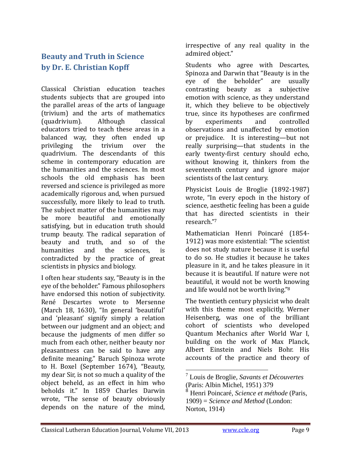## **Beauty and Truth in Science by Dr. E. Christian Kopff**

Classical Christian education teaches students subjects that are grouped into the parallel areas of the arts of language (trivium) and the arts of mathematics (quadrivium). Although classical educators tried to teach these areas in a balanced way, they often ended up privileging the trivium over the quadrivium. The descendants of this scheme in contemporary education are the humanities and the sciences. In most schools the old emphasis has been reversed and science is privileged as more academically rigorous and, when pursued successfully, more likely to lead to truth. The subject matter of the humanities may be more beautiful and emotionally satisfying, but in education truth should trump beauty. The radical separation of beauty and truth, and so of the humanities and the sciences, is contradicted by the practice of great scientists in physics and biology.

I often hear students say, "Beauty is in the eye of the beholder." Famous philosophers have endorsed this notion of subjectivity. René Descartes wrote to Mersenne (March 18, 1630), "In general 'beautiful' and 'pleasant' signify simply a relation between our judgment and an object; and because the judgments of men differ so much from each other, neither beauty nor pleasantness can be said to have any definite meaning." Baruch Spinoza wrote to H. Boxel (September 1674), "Beauty, my dear Sir, is not so much a quality of the object beheld, as an effect in him who beholds it." In 1859 Charles Darwin wrote, "The sense of beauty obviously depends on the nature of the mind,

irrespective of any real quality in the admired object."

Students who agree with Descartes, Spinoza and Darwin that "Beauty is in the eye of the beholder" are usually contrasting beauty as a subjective emotion with science, as they understand it, which they believe to be objectively true, since its hypotheses are confirmed by experiments and controlled observations and unaffected by emotion or prejudice. It is interesting—but not really surprising—that students in the early twenty-first century should echo, without knowing it, thinkers from the seventeenth century and ignore major scientists of the last century.

Physicist Louis de Broglie (1892-1987) wrote, "In every epoch in the history of science, aesthetic feeling has been a guide that has directed scientists in their research."7

Mathematician Henri Poincaré (1854-1912) was more existential: "The scientist does not study nature because it is useful to do so. He studies it because he takes pleasure in it, and he takes pleasure in it because it is beautiful. If nature were not beautiful, it would not be worth knowing and life would not be worth living."<sup>8</sup>

The twentieth century physicist who dealt with this theme most explicitly, Werner Heisenberg, was one of the brilliant cohort of scientists who developed Quantum Mechanics after World War I, building on the work of Max Planck, Albert Einstein and Niels Bohr. His accounts of the practice and theory of

 7 Louis de Broglie, *Savants et Découvertes* (Paris: Albin Michel, 1951) 379

<sup>8</sup> Henri Poincaré, *Science et méthode* (Paris, 1909) = *Science and Method* (London: Norton, 1914)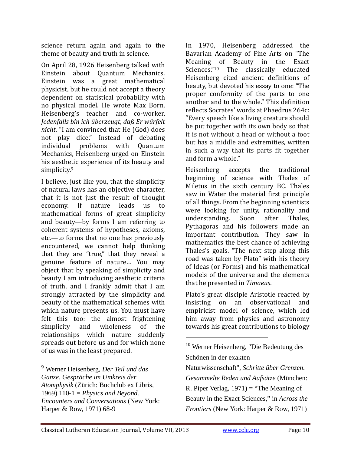science return again and again to the theme of beauty and truth in science.

On April 28, 1926 Heisenberg talked with Einstein about Quantum Mechanics. Einstein was a great mathematical physicist, but he could not accept a theory dependent on statistical probability with no physical model. He wrote Max Born, Heisenberg's teacher and co-worker, *Jedenfalls bin ich überzeugt, daß Er würfelt nicht.* "I am convinced that He (God) does not play dice." Instead of debating individual problems with Quantum Mechanics, Heisenberg urged on Einstein his aesthetic experience of its beauty and simplicity.<sup>9</sup>

I believe, just like you, that the simplicity of natural laws has an objective character, that it is not just the result of thought economy. If nature leads us to mathematical forms of great simplicity and beauty—by forms I am referring to coherent systems of hypotheses, axioms, etc.—to forms that no one has previously encountered, we cannot help thinking that they are "true," that they reveal a genuine feature of nature... You may object that by speaking of simplicity and beauty I am introducing aesthetic criteria of truth, and I frankly admit that I am strongly attracted by the simplicity and beauty of the mathematical schemes with which nature presents us. You must have felt this too: the almost frightening simplicity and wholeness of the relationships which nature suddenly spreads out before us and for which none of us was in the least prepared.

In 1970, Heisenberg addressed the Bavarian Academy of Fine Arts on "The Meaning of Beauty in the Exact Sciences."<sup>10</sup> The classically educated Heisenberg cited ancient definitions of beauty, but devoted his essay to one: "The proper conformity of the parts to one another and to the whole." This definition reflects Socrates' words at Phaedrus 264c: "Every speech like a living creature should be put together with its own body so that it is not without a head or without a foot but has a middle and extremities, written in such a way that its parts fit together and form a whole."

Heisenberg accepts the traditional beginning of science with Thales of Miletus in the sixth century BC. Thales saw in Water the material first principle of all things. From the beginning scientists were looking for unity, rationality and understanding. Soon after Thales, Pythagoras and his followers made an important contribution. They saw in mathematics the best chance of achieving Thales's goals. "The next step along this road was taken by Plato" with his theory of Ideas (or Forms) and his mathematical models of the universe and the elements that he presented in *Timaeus*.

Plato's great disciple Aristotle reacted by insisting on an observational and empiricist model of science, which led him away from physics and astronomy towards his great contributions to biology

<sup>9</sup> Werner Heisenberg, *Der Teil und das Ganze*. *Gespräche im Umkreis der Atomphysik* (Zürich: Buchclub ex Libris, 1969) 110-1 = *Physics and Beyond. Encounters and Conversations* (New York: Harper & Row, 1971) 68-9

<sup>10</sup> Werner Heisenberg, "Die Bedeutung des Schönen in der exakten Naturwissenschaft", *Schritte über Grenzen. Gesammelte Reden und Aufsätze* (München: R. Piper Verlag,  $1971$  = "The Meaning of Beauty in the Exact Sciences," in *Across the Frontiers* (New York: Harper & Row, 1971)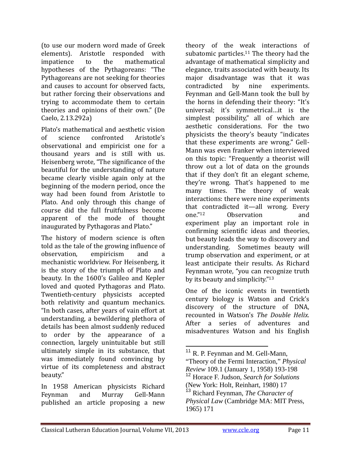(to use our modern word made of Greek elements). Aristotle responded with impatience to the mathematical hypotheses of the Pythagoreans: "The Pythagoreans are not seeking for theories and causes to account for observed facts, but rather forcing their observations and trying to accommodate them to certain theories and opinions of their own." (De Caelo, 2.13.292a)

Plato's mathematical and aesthetic vision of science confronted Aristotle's observational and empiricist one for a thousand years and is still with us. Heisenberg wrote, "The significance of the beautiful for the understanding of nature became clearly visible again only at the beginning of the modern period, once the way had been found from Aristotle to Plato. And only through this change of course did the full fruitfulness become apparent of the mode of thought inaugurated by Pythagoras and Plato."

The history of modern science is often told as the tale of the growing influence of observation, empiricism and a mechanistic worldview. For Heisenberg, it is the story of the triumph of Plato and beauty. In the 1600's Galileo and Kepler loved and quoted Pythagoras and Plato. Twentieth-century physicists accepted both relativity and quantum mechanics. "In both cases, after years of vain effort at understanding, a bewildering plethora of details has been almost suddenly reduced to order by the appearance of a connection, largely unintuitable but still ultimately simple in its substance, that was immediately found convincing by virtue of its completeness and abstract beauty." 

In 1958 American physicists Richard Feynman and Murray Gell-Mann published an article proposing a new

theory of the weak interactions of subatomic particles.<sup>11</sup> The theory had the advantage of mathematical simplicity and elegance, traits associated with beauty. Its major disadvantage was that it was contradicted by nine experiments. Feynman and Gell-Mann took the bull by the horns in defending their theory: "It's universal; it's symmetrical...it is the simplest possibility," all of which are aesthetic considerations. For the two physicists the theory's beauty "indicates that these experiments are wrong." Gell-Mann was even franker when interviewed on this topic: "Frequently a theorist will throw out a lot of data on the grounds that if they don't fit an elegant scheme, they're wrong. That's happened to me many times. The theory of weak interactions: there were nine experiments that contradicted it—all wrong. Every one."<sup>12</sup> Observation and experiment play an important role in confirming scientific ideas and theories, but beauty leads the way to discovery and understanding. Sometimes beauty will trump observation and experiment, or at least anticipate their results. As Richard Feynman wrote, "you can recognize truth by its beauty and simplicity." $13$ 

One of the iconic events in twentieth century biology is Watson and Crick's discovery of the structure of DNA, recounted in Watson's *The Double Helix*. After a series of adventures and misadventures Watson and his English 

 <sup>11</sup> R. P. Feynman and M. Gell-Mann,

<sup>&</sup>quot;Theory of the Fermi Interaction," *Physical Review* 109.1 (January 1, 1958) 193-198 <sup>12</sup> Horace F. Judson, *Search for Solutions*

<sup>(</sup>New York: Holt, Reinhart, 1980) 17 <sup>13</sup> Richard Feynman, *The Character of* 

*Physical Law* (Cambridge MA: MIT Press, 1965) 171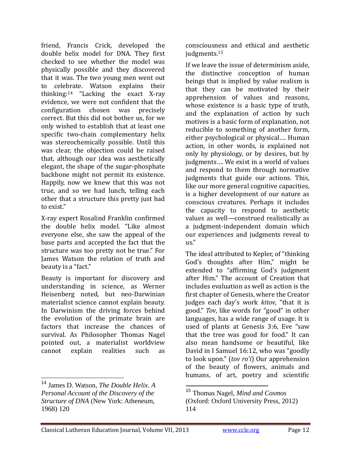friend, Francis Crick, developed the double helix model for DNA. They first checked to see whether the model was physically possible and they discovered that it was. The two young men went out to celebrate. Watson explains their thinking: $14$  "Lacking the exact X-ray evidence, we were not confident that the configuration chosen was precisely correct. But this did not bother us, for we only wished to establish that at least one specific two-chain complementary helix was stereochemically possible. Until this was clear, the objection could be raised that, although our idea was aesthetically elegant, the shape of the sugar-phosphate backbone might not permit its existence. Happily, now we knew that this was not true, and so we had lunch, telling each other that a structure this pretty just had to exist."

X‐ray expert Rosalind Franklin confirmed the double helix model. "Like almost everyone else, she saw the appeal of the base parts and accepted the fact that the structure was too pretty not be true." For James Watson the relation of truth and beauty is a "fact."

Beauty is important for discovery and understanding in science, as Werner Heisenberg noted, but neo-Darwinian materialist science cannot explain beauty. In Darwinism the driving forces behind the evolution of the primate brain are factors that increase the chances of survival. As Philosopher Thomas Nagel pointed out, a materialist worldview cannot explain realities such as 

consciousness and ethical and aesthetic judgments.<sup>15</sup>

If we leave the issue of determinism aside, the distinctive conception of human beings that is implied by value realism is that they can be motivated by their apprehension of values and reasons, whose existence is a basic type of truth, and the explanation of action by such motives is a basic form of explanation, not reducible to something of another form, either psychological or physical.... Human action, in other words, is explained not only by physiology, or by desires, but by iudgments.... We exist in a world of values and respond to them through normative judgments that guide our actions. This, like our more general cognitive capacities, is a higher development of our nature as conscious creatures. Perhaps it includes the capacity to respond to aesthetic values as well-construed realistically as a judgment-independent domain which our experiences and judgments reveal to  $\overline{\mathsf{u}}$ s."

The ideal attributed to Kepler, of "thinking" God's thoughts after Him," might be extended to "affirming God's judgment after Him." The account of Creation that includes evaluation as well as action is the first chapter of Genesis, where the Creator judges each day's work *kitov*, "that it is good." *Tov*, like words for "good" in other languages, has a wide range of usage. It is used of plants at Genesis 3:6, Eve "saw that the tree was good for food." It can also mean handsome or beautiful, like David in I Samuel 16:12, who was "goodly to look upon." (*tov ro'i*) Our apprehension of the beauty of flowers, animals and humans, of art, poetry and scientific

 <sup>14</sup> James D. Watson, *The Double Helix*. *A Personal Account of the Discovery of the Structure of DNA* (New York: Atheneum, 1968) 120

<sup>15</sup> Thomas Nagel, *Mind and Cosmos* (Oxford: Oxford University Press, 2012) 114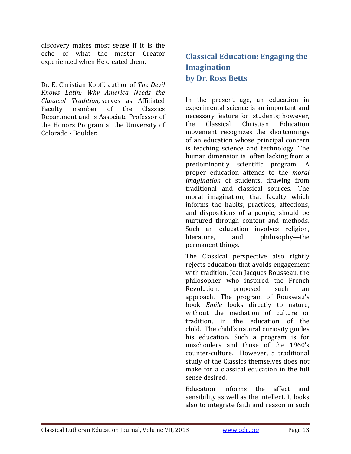discovery makes most sense if it is the echo of what the master Creator experienced when He created them.

Dr. E. Christian Kopff, author of *The Devil Knows Latin: Why America Needs the Classical Tradition,* serves as Affiliated Faculty member of the Classics Department and is Associate Professor of the Honors Program at the University of Colorado - Boulder.

## **Classical Education: Engaging the Imagination by Dr. Ross Betts**

In the present age, an education in experimental science is an important and necessary feature for students; however, the Classical Christian Education movement recognizes the shortcomings of an education whose principal concern is teaching science and technology. The human dimension is often lacking from a predominantly scientific program. A proper education attends to the *moral imagination* of students, drawing from traditional and classical sources. The moral imagination, that faculty which informs the habits, practices, affections, and dispositions of a people, should be nurtured through content and methods. Such an education involves religion, literature, and philosophy—the permanent things.

The Classical perspective also rightly rejects education that avoids engagement with tradition. Jean Jacques Rousseau, the philosopher who inspired the French Revolution, proposed such an approach. The program of Rousseau's book *Emile* looks directly to nature, without the mediation of culture or tradition, in the education of the child. The child's natural curiosity guides his education. Such a program is for unschoolers and those of the 1960's counter-culture. However, a traditional study of the Classics themselves does not make for a classical education in the full sense desired.

Education informs the affect and sensibility as well as the intellect. It looks also to integrate faith and reason in such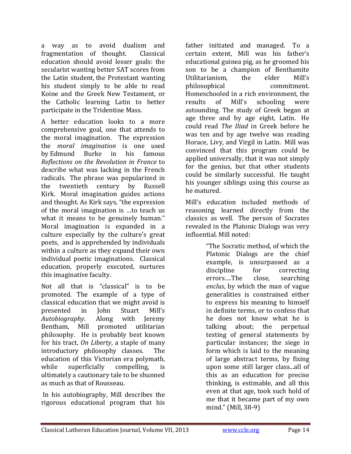a way as to avoid dualism and fragmentation of thought. Classical education should avoid lesser goals: the secularist wanting better SAT scores from the Latin student, the Protestant wanting his student simply to be able to read Koine and the Greek New Testament, or the Catholic learning Latin to better participate in the Tridentine Mass.

A better education looks to a more comprehensive goal, one that attends to the moral imagination. The expression the *moral imagination* is one used by Edmund Burke in his famous *Reflections on the Revolution in France* to describe what was lacking in the French radicals. The phrase was popularized in the twentieth century by Russell Kirk. Moral imagination guides actions and thought. As Kirk says, "the expression of the moral imagination is ...to teach us what it means to be genuinely human." Moral imagination is expanded in a culture especially by the culture's great poets, and is apprehended by individuals within a culture as they expand their own individual poetic imaginations. Classical education, properly executed, nurtures this imaginative faculty.

Not all that is "classical" is to be promoted. The example of a type of classical education that we might avoid is presented in John Stuart Mill's *Autobiography*. Along with Jeremy Bentham, Mill promoted utilitarian philosophy. He is probably best known for his tract, *On Liberty*, a staple of many introductory philosophy classes. The education of this Victorian era polymath, while superficially compelling, is ultimately a cautionary tale to be shunned as much as that of Rousseau.

In his autobiography, Mill describes the rigorous educational program that his 

father initiated and managed. To a certain extent, Mill was his father's educational guinea pig, as he groomed his son to be a champion of Benthamite Utilitarianism, the elder Mill's philosophical commitment. Homeschooled in a rich environment, the results of Mill's schooling were astounding. The study of Greek began at age three and by age eight, Latin. He could read *The Iliad* in Greek before he was ten and by age twelve was reading Horace, Livy, and Virgil in Latin. Mill was convinced that this program could be applied universally, that it was not simply for the genius, but that other students could be similarly successful. He taught his younger siblings using this course as he matured.

Mill's education included methods of reasoning learned directly from the classics as well. The person of Socrates revealed in the Platonic Dialogs was very influential. Mill noted:

> "The Socratic method, of which the Platonic Dialogs are the chief example, is unsurpassed as a discipline for correcting errors....The close, searching *enclus*, by which the man of vague generalities is constrained either to express his meaning to himself in definite terms, or to confess that he does not know what he is talking about; the perpetual testing of general statements by particular instances; the siege in form which is laid to the meaning of large abstract terms, by fixing upon some still larger class...all of this as an education for precise thinking, is estimable, and all this even at that age, took such hold of me that it became part of my own mind." (Mill, 38-9)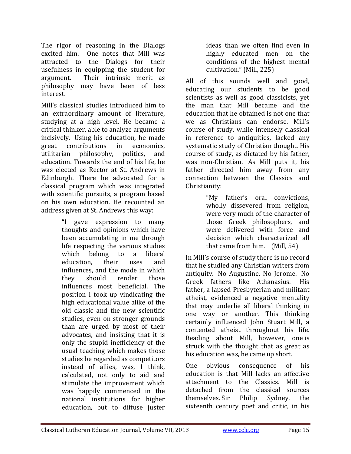The rigor of reasoning in the Dialogs excited him. One notes that Mill was attracted to the Dialogs for their usefulness in equipping the student for argument. Their intrinsic merit as philosophy may have been of less interest. 

Mill's classical studies introduced him to an extraordinary amount of literature, studying at a high level. He became a critical thinker, able to analyze arguments incisively. Using his education, he made great contributions in economics, utilitarian philosophy, politics, and education. Towards the end of his life, he was elected as Rector at St. Andrews in Edinburgh. There he advocated for a classical program which was integrated with scientific pursuits, a program based on his own education. He recounted an address given at St. Andrews this way:

> "I gave expression to many thoughts and opinions which have been accumulating in me through life respecting the various studies which belong to a liberal education, their uses and influences, and the mode in which they should render those influences most beneficial. The position I took up vindicating the high educational value alike of the old classic and the new scientific studies, even on stronger grounds than are urged by most of their advocates, and insisting that it is only the stupid inefficiency of the usual teaching which makes those studies be regarded as competitors instead of allies, was, I think, calculated, not only to aid and stimulate the improvement which was happily commenced in the national institutions for higher education, but to diffuse juster

ideas than we often find even in highly educated men on the conditions of the highest mental cultivation." (Mill, 225)

All of this sounds well and good, educating our students to be good scientists as well as good classicists, yet the man that Mill became and the education that he obtained is not one that we as Christians can endorse. Mill's course of study, while intensely classical in reference to antiquities, lacked any systematic study of Christian thought. His course of study, as dictated by his father, was non-Christian. As Mill puts it, his father directed him away from any connection between the Classics and Christianity: 

> "My father's oral convictions, wholly dissevered from religion, were very much of the character of those Greek philosophers, and were delivered with force and decision which characterized all that came from him.  $(Mill, 54)$

In Mill's course of study there is no record that he studied any Christian writers from antiquity. No Augustine. No Jerome. No Greek fathers like Athanasius. His father, a lapsed Presbyterian and militant atheist, evidenced a negative mentality that may underlie all liberal thinking in one way or another. This thinking certainly influenced John Stuart Mill, a contented atheist throughout his life. Reading about Mill, however, one is struck with the thought that as great as his education was, he came up short.

One obvious consequence of his education is that Mill lacks an affective attachment to the Classics. Mill is detached from the classical sources themselves. Sir Philip Sydney, the sixteenth century poet and critic, in his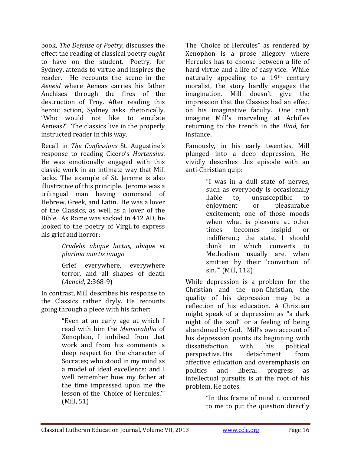book, *The Defense of Poetry*, discusses the effect the reading of classical poetry *ought* to have on the student. Poetry, for Sydney, attends to virtue and inspires the reader. He recounts the scene in the *Aeneid* where Aeneas carries his father Anchises through the fires of the destruction of Troy. After reading this heroic action, Sydney asks rhetorically, "Who would not like to emulate Aeneas?" The classics live in the properly instructed reader in this way.

Recall in *The Confessions* St. Augustine's response to reading Cicero's *Hortensius*. He was emotionally engaged with this classic work in an intimate way that Mill lacks. The example of St. Jerome is also illustrative of this principle. Jerome was a trilingual man having command of Hebrew, Greek, and Latin. He was a lover of the Classics, as well as a lover of the Bible. As Rome was sacked in 412 AD, he looked to the poetry of Virgil to express his grief and horror:

#### *Crudelis ubique luctus, ubique et plurima mortis imago*

Grief everywhere, everywhere terror, and all shapes of death (*Aeneid*, 2:368‐9) 

In contrast, Mill describes his response to the Classics rather dryly. He recounts going through a piece with his father:

> "Even at an early age at which I read with him the *Memorabilia* of Xenophon, I imbibed from that work and from his comments a deep respect for the character of Socrates; who stood in my mind as a model of ideal excellence: and I well remember how my father at the time impressed upon me the lesson of the 'Choice of Hercules."  $(Mill, 51)$

The 'Choice of Hercules" as rendered by Xenophon is a prose allegory where Hercules has to choose between a life of hard virtue and a life of easy vice. While naturally appealing to a  $19<sup>th</sup>$  century moralist, the story hardly engages the imagination. Mill doesn't give the impression that the Classics had an effect on his imaginative faculty. One can't imagine Mill's marveling at Achilles returning to the trench in the *Iliad*, for instance. 

Famously, in his early twenties, Mill plunged into a deep depression. He vividly describes this episode with an anti-Christian quip:

> "I was in a dull state of nerves, such as everybody is occasionally liable to; unsusceptible to enjoyment or pleasurable excitement; one of those moods when what is pleasure at other times becomes insipid or indifferent; the state, I should think in which converts to Methodism usually are, when smitten by their 'conviction of  $sin."$  (Mill, 112)

While depression is a problem for the Christian and the non-Christian, the quality of his depression may be a reflection of his education. A Christian might speak of a depression as "a dark night of the soul" or a feeling of being abandoned by God. Mill's own account of his depression points its beginning with dissatisfaction with his political perspective. His detachment from affective education and overemphasis on politics and liberal progress as intellectual pursuits is at the root of his problem. He notes:

> "In this frame of mind it occurred to me to put the question directly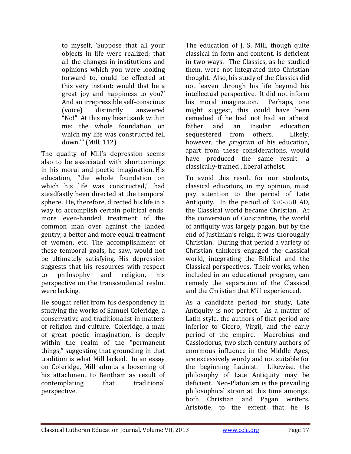to myself, 'Suppose that all your objects in life were realized; that all the changes in institutions and opinions which you were looking forward to, could be effected at this very instant: would that be a great joy and happiness to you?' And an irrepressible self-conscious (voice) distinctly answered "No!" At this my heart sank within me: the whole foundation on which my life was constructed fell down."" (Mill, 112)

The quality of Mill's depression seems also to be associated with shortcomings in his moral and poetic imagination. His education, "the whole foundation on which his life was constructed," had steadfastly been directed at the temporal sphere. He, therefore, directed his life in a way to accomplish certain political ends: more even-handed treatment of the common man over against the landed gentry, a better and more equal treatment of women, etc. The accomplishment of these temporal goals, he saw, would not be ultimately satisfying. His depression suggests that his resources with respect to philosophy and religion, his perspective on the transcendental realm, were lacking.

He sought relief from his despondency in studying the works of Samuel Coleridge, a conservative and traditionalist in matters of religion and culture. Coleridge, a man of great poetic imagination, is deeply within the realm of the "permanent things," suggesting that grounding in that tradition is what Mill lacked. In an essay on Coleridge, Mill admits a loosening of his attachment to Bentham as result of contemplating that traditional perspective. 

The education of J. S. Mill, though quite classical in form and content, is deficient in two ways. The Classics, as he studied them, were not integrated into Christian thought. Also, his study of the Classics did not leaven through his life beyond his intellectual perspective. It did not inform his moral imagination. Perhaps, one might suggest, this could have been remedied if he had not had an atheist father and an insular education sequestered from others. Likely, however, the *program* of his education, apart from these considerations, would have produced the same result: a classically-trained, liberal atheist.

To avoid this result for our students, classical educators, in my opinion, must pay attention to the period of Late Antiquity. In the period of  $350-550$  AD, the Classical world became Christian. At the conversion of Constantine, the world of antiquity was largely pagan, but by the end of Justinian's reign, it was thoroughly Christian. During that period a variety of Christian thinkers engaged the classical world, integrating the Biblical and the Classical perspectives. Their works, when included in an educational program, can remedy the separation of the Classical and the Christian that Mill experienced.

As a candidate period for study, Late Antiquity is not perfect. As a matter of Latin style, the authors of that period are inferior to Cicero, Virgil, and the early period of the empire. Macrobius and Cassiodorus, two sixth century authors of enormous influence in the Middle Ages, are excessively wordy and not suitable for the beginning Latinist. Likewise, the philosophy of Late Antiquity may be deficient. Neo-Platonism is the prevailing philosophical strain at this time amongst both Christian and Pagan writers. Aristotle, to the extent that he is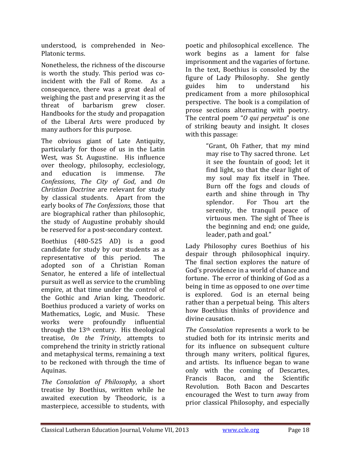understood, is comprehended in Neo-Platonic terms.

Nonetheless, the richness of the discourse is worth the study. This period was coincident with the Fall of Rome. As a consequence, there was a great deal of weighing the past and preserving it as the threat of barbarism grew closer. Handbooks for the study and propagation of the Liberal Arts were produced by many authors for this purpose.

The obvious giant of Late Antiquity, particularly for those of us in the Latin West, was St. Augustine. His influence over theology, philosophy, ecclesiology, and education is immense. *The Confessions*, *The City of God*, and *On Christian Doctrine* are relevant for study by classical students. Apart from the early books of *The Confessions*, those that are biographical rather than philosophic, the study of Augustine probably should be reserved for a post-secondary context.

Boethius (480-525 AD) is a good candidate for study by our students as a representative of this period. The adopted son of a Christian Roman Senator, he entered a life of intellectual pursuit as well as service to the crumbling empire, at that time under the control of the Gothic and Arian king, Theodoric. Boethius produced a variety of works on Mathematics, Logic, and Music. These works were profoundly influential through the  $13<sup>th</sup>$  century. His theological treatise, *On the Trinity*, attempts to comprehend the trinity in strictly rational and metaphysical terms, remaining a text to be reckoned with through the time of Aquinas.

*The Consolation of Philosophy*, a short treatise by Boethius, written while he awaited execution by Theodoric, is a masterpiece, accessible to students, with

poetic and philosophical excellence. The work begins as a lament for false imprisonment and the vagaries of fortune. In the text, Boethius is consoled by the figure of Lady Philosophy. She gently guides him to understand his predicament from a more philosophical perspective. The book is a compilation of prose sections alternating with poetry. The central poem "*O qui perpetua*" is one of striking beauty and insight. It closes with this passage:

> "Grant, Oh Father, that my mind may rise to Thy sacred throne. Let it see the fountain of good; let it find light, so that the clear light of my soul may fix itself in Thee. Burn off the fogs and clouds of earth and shine through in Thy splendor. For Thou art the serenity, the tranquil peace of virtuous men. The sight of Thee is the beginning and end; one guide, leader, path and goal."

Lady Philosophy cures Boethius of his despair through philosophical inquiry. The final section explores the nature of God's providence in a world of chance and fortune. The error of thinking of God as a being in time as opposed to one *over* time is explored. God is an eternal being rather than a perpetual being. This alters how Boethius thinks of providence and divine causation.

*The Consolation* represents a work to be studied both for its intrinsic merits and for its influence on subsequent culture through many writers, political figures, and artists. Its influence began to wane only with the coming of Descartes, Francis Bacon, and the Scientific Revolution. Both Bacon and Descartes encouraged the West to turn away from prior classical Philosophy, and especially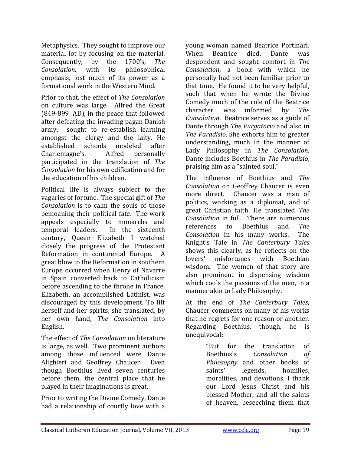Metaphysics. They sought to improve our material lot by focusing on the material. Consequently, by the 1700's, *The Consolation,* with its philosophical emphasis, lost much of its power as a formational work in the Western Mind.

Prior to that, the effect of *The Consolation* on culture was large. Alfred the Great  $(849-899$  AD), in the peace that followed after defeating the invading pagan Danish army, sought to re-establish learning amongst the clergy and the laity. He established schools modeled after Charlemagne's. Alfred personally participated in the translation of *The Consolation* for his own edification and for the education of his children.

Political life is always subject to the vagaries of fortune. The special gift of *The Consolation* is to calm the souls of those bemoaning their political fate. The work appeals especially to monarchs and temporal leaders. In the sixteenth century, Queen Elizabeth I watched closely the progress of the Protestant Reformation in continental Europe. A great blow to the Reformation in southern Europe occurred when Henry of Navarre in Spain converted back to Catholicism before ascending to the throne in France. Elizabeth, an accomplished Latinist, was discouraged by this development. To lift herself and her spirits, she translated, by her own hand, *The Consolation* into English. 

The effect of *The Consolation* on literature is large, as well. Two prominent authors among those influenced were Dante Alighieri and Geoffrey Chaucer. Even though Boethius lived seven centuries before them, the central place that he played in their imaginations is great.

Prior to writing the Divine Comedy, Dante had a relationship of courtly love with a

voung woman named Beatrice Portinari. When Beatrice died, Dante was despondent and sought comfort in *The Consolation*, a book with which he personally had not been familiar prior to that time. He found it to be very helpful. such that when he wrote the Divine Comedy much of the role of the Beatrice character was informed by *The Consolation.* Beatrice serves as a guide of Dante through *The Purgatorio* and also in *The Paradisio.* She exhorts him to greater understanding, much in the manner of Lady Philosophy in *The Consolation.* Dante includes Boethius in *The Paradisio*, praising him as a "sainted soul."

The influence of Boethius and *The Consolation* on Geoffrey Chaucer is even more direct. Chaucer was a man of politics, working as a diplomat, and of great Christian faith. He translated *The Consolation* in full. There are numerous references to Boethius and *The Consolation* in his many works. The Knight's Tale in *The Canterbury Tales* shows this clearly, as he reflects on the lovers' misfortunes with Boethian wisdom. The women of that story are also prominent in dispensing wisdom which cools the passions of the men, in a manner akin to Lady Philosophy.

At the end of *The Canterbury Tales*, Chaucer comments on many of his works that he regrets for one reason or another. Regarding Boethius, though, he is unequivocal: 

> "But for the translation of Boethius's *Consolation of Philosophy* and other books of saints' legends, homilies, moralities, and devotions, I thank our Lord Jesus Christ and his blessed Mother, and all the saints of heaven, beseeching them that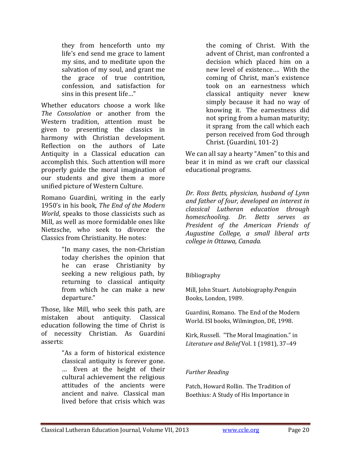they from henceforth unto my life's end send me grace to lament my sins, and to meditate upon the salvation of my soul, and grant me the grace of true contrition, confession, and satisfaction for sins in this present life..."

Whether educators choose a work like *The Consolation* or another from the Western tradition, attention must be given to presenting the classics in harmony with Christian development. Reflection on the authors of Late Antiquity in a Classical education can accomplish this. Such attention will more properly guide the moral imagination of our students and give them a more unified picture of Western Culture.

Romano Guardini, writing in the early 1950's in his book, *The End of the Modern World*, speaks to those classicists such as Mill, as well as more formidable ones like Nietzsche, who seek to divorce the Classics from Christianity. He notes:

> "In many cases, the non‐Christian today cherishes the opinion that he can erase Christianity by seeking a new religious path, by returning to classical antiquity from which he can make a new departure."

Those, like Mill, who seek this path, are mistaken about antiquity. Classical education following the time of Christ is of necessity Christian. As Guardini asserts: 

> "As a form of historical existence classical antiquity is forever gone. … Even at the height of their cultural achievement the religious attitudes of the ancients were ancient and naive. Classical man lived before that crisis which was

the coming of Christ. With the advent of Christ, man confronted a decision which placed him on a new level of existence.... With the coming of Christ, man's existence took on an earnestness which classical antiquity never knew simply because it had no way of knowing it. The earnestness did not spring from a human maturity; it sprang from the call which each person received from God through Christ. (Guardini, 101-2)

We can all say a hearty "Amen" to this and bear it in mind as we craft our classical educational programs.

*Dr. Ross Betts, physician, husband of Lynn and father of four, developed an interest in classical Lutheran education through homeschooling. Dr. Betts serves as President of the American Friends of Augustine College, a small liberal arts college in Ottawa, Canada.*

#### Bibliography

Mill, John Stuart. Autobiography.Penguin Books, London, 1989.

Guardini, Romano. The End of the Modern World. ISI books, Wilmington, DE, 1998.

Kirk, Russell. "The Moral Imagination." in *Literature and Belief* Vol. 1 (1981), 37–49 

#### *Further Reading*

Patch, Howard Rollin. The Tradition of Boethius: A Study of His Importance in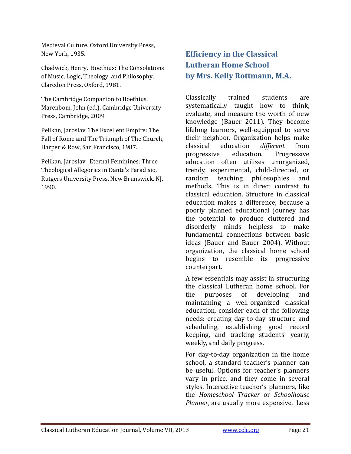Medieval Culture. Oxford University Press, New York, 1935.

Chadwick, Henry. Boethius: The Consolations of Music, Logic, Theology, and Philosophy, Claredon Press, Oxford, 1981.

The Cambridge Companion to Boethius. Marenbom, John (ed.), Cambridge University Press, Cambridge, 2009

Pelikan, Jaroslav. The Excellent Empire: The Fall of Rome and The Triumph of The Church, Harper & Row, San Francisco, 1987.

Pelikan, Jaroslav. Eternal Feminines: Three Theological Allegories in Dante's Paradisio, Rutgers University Press, New Brunswick, NJ, 1990. 

## **Efficiency in the Classical Lutheran Home School by Mrs. Kelly Rottmann, M.A.**

Classically trained students are systematically taught how to think, evaluate, and measure the worth of new knowledge (Bauer 2011). They become lifelong learners, well-equipped to serve their neighbor. Organization helps make classical education *different* from progressive education. Progressive education often utilizes unorganized, trendy, experimental, child-directed, or random teaching philosophies and methods. This is in direct contrast to classical education. Structure in classical education makes a difference, because a poorly planned educational journey has the potential to produce cluttered and disorderly minds helpless to make fundamental connections between basic ideas (Bauer and Bauer 2004). Without organization, the classical home school begins to resemble its progressive counterpart. 

A few essentials may assist in structuring the classical Lutheran home school. For the purposes of developing and maintaining a well-organized classical education, consider each of the following needs: creating day-to-day structure and scheduling, establishing good record keeping, and tracking students' yearly, weekly, and daily progress.

For day-to-day organization in the home school, a standard teacher's planner can be useful. Options for teacher's planners vary in price, and they come in several styles. Interactive teacher's planners, like the *Homeschool Tracker* or *Schoolhouse Planner*, are usually more expensive. Less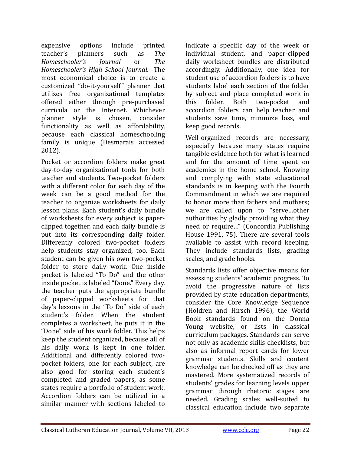expensive options include printed teacher's planners such as *The Homeschooler's Journal* or *The Homeschooler's High School Journal*. The most economical choice is to create a customized "do-it-yourself" planner that utilizes free organizational templates offered either through pre-purchased curricula or the Internet. Whichever planner style is chosen, consider functionality as well as affordability, because each classical homeschooling family is unique (Desmarais accessed 2012). 

Pocket or accordion folders make great day-to-day organizational tools for both teacher and students. Two-pocket folders with a different color for each day of the week can be a good method for the teacher to organize worksheets for daily lesson plans. Each student's daily bundle of worksheets for every subject is paperclipped together, and each daily bundle is put into its corresponding daily folder. Differently colored two-pocket folders help students stay organized, too. Each student can be given his own two-pocket folder to store daily work. One inside pocket is labeled "To Do" and the other inside pocket is labeled "Done." Every day, the teacher puts the appropriate bundle of paper-clipped worksheets for that day's lessons in the "To Do" side of each student's folder. When the student completes a worksheet, he puts it in the "Done" side of his work folder. This helps keep the student organized, because all of his daily work is kept in one folder. Additional and differently colored twopocket folders, one for each subject, are also good for storing each student's completed and graded papers, as some states require a portfolio of student work. Accordion folders can be utilized in a similar manner with sections labeled to

indicate a specific day of the week or individual student, and paper-clipped daily worksheet bundles are distributed accordingly. Additionally, one idea for student use of accordion folders is to have students label each section of the folder by subject and place completed work in this folder. Both two-pocket and accordion folders can help teacher and students save time, minimize loss, and keep good records.

Well-organized records are necessary, especially because many states require tangible evidence both for what is learned and for the amount of time spent on academics in the home school. Knowing and complying with state educational standards is in keeping with the Fourth Commandment in which we are required to honor more than fathers and mothers; we are called upon to "serve...other authorities by gladly providing what they need or require..." (Concordia Publishing House 1991, 75). There are several tools available to assist with record keeping. They include standards lists, grading scales, and grade books.

Standards lists offer objective means for assessing students' academic progress. To avoid the progressive nature of lists provided by state education departments, consider the Core Knowledge Sequence (Holdren and Hirsch 1996), the World Book standards found on the Donna Young website, or lists in classical curriculum packages. Standards can serve not only as academic skills checklists, but also as informal report cards for lower grammar students. Skills and content knowledge can be checked off as they are mastered. More systematized records of students' grades for learning levels upper grammar through rhetoric stages are needed. Grading scales well‐suited to classical education include two separate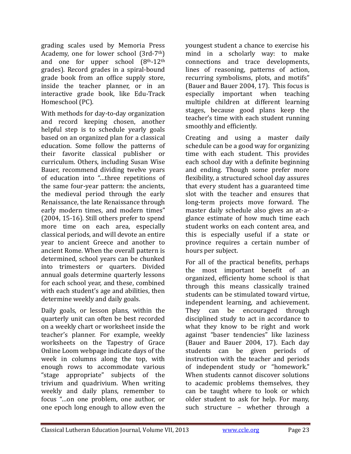grading scales used by Memoria Press Academy, one for lower school  $(3rd-7<sup>th</sup>)$ and one for upper school  $(8<sup>th</sup>-12<sup>th</sup>)$ grades). Record grades in a spiral-bound grade book from an office supply store, inside the teacher planner, or in an interactive grade book, like Edu-Track Homeschool (PC).

With methods for day-to-day organization and record keeping chosen, another helpful step is to schedule vearly goals based on an organized plan for a classical education. Some follow the patterns of their favorite classical publisher or curriculum. Others, including Susan Wise Bauer, recommend dividing twelve years of education into "...three repetitions of the same four-year pattern: the ancients, the medieval period through the early Renaissance, the late Renaissance through early modern times, and modern times"  $(2004, 15-16)$ . Still others prefer to spend more time on each area, especially classical periods, and will devote an entire year to ancient Greece and another to ancient Rome. When the overall pattern is determined, school years can be chunked into trimesters or quarters. Divided annual goals determine quarterly lessons for each school year, and these, combined with each student's age and abilities, then determine weekly and daily goals.

Daily goals, or lesson plans, within the quarterly unit can often be best recorded on a weekly chart or worksheet inside the teacher's planner. For example, weekly worksheets on the Tapestry of Grace Online Loom webpage indicate days of the week in columns along the top, with enough rows to accommodate various "stage appropriate" subjects of the trivium and quadrivium. When writing weekly and daily plans, remember to focus "...on one problem, one author, or one epoch long enough to allow even the

youngest student a chance to exercise his mind in a scholarly way: to make connections and trace developments, lines of reasoning, patterns of action, recurring symbolisms, plots, and motifs" (Bauer and Bauer 2004, 17). This focus is especially important when teaching multiple children at different learning stages, because good plans keep the teacher's time with each student running smoothly and efficiently.

Creating and using a master daily schedule can be a good way for organizing time with each student. This provides each school day with a definite beginning and ending. Though some prefer more flexibility, a structured school day assures that every student has a guaranteed time slot with the teacher and ensures that long-term projects move forward. The master daily schedule also gives an at-aglance estimate of how much time each student works on each content area, and this is especially useful if a state or province requires a certain number of hours per subject.

For all of the practical benefits, perhaps the most important benefit of an organized, efficienty home school is that through this means classically trained students can be stimulated toward virtue, independent learning, and achievement. They can be encouraged through disciplined study to act in accordance to what they know to be right and work against "baser tendencies" like laziness (Bauer and Bauer 2004, 17). Each day students can be given periods of instruction with the teacher and periods of independent study or "homework." When students cannot discover solutions to academic problems themselves, they can be taught where to look or which older student to ask for help. For many, such structure – whether through a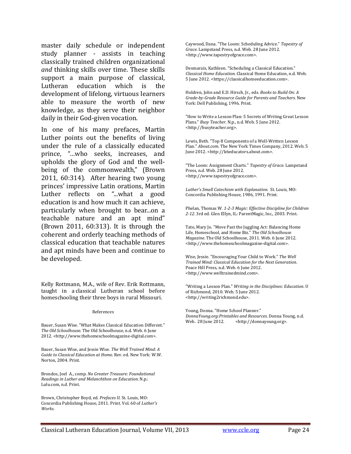master daily schedule or independent study planner - assists in teaching classically trained children organizational *and* thinking skills over time. These skills support a main purpose of classical, Lutheran education which is the development of lifelong, virtuous learners able to measure the worth of new knowledge, as they serve their neighbor daily in their God-given vocation.

In one of his many prefaces, Martin Luther points out the benefits of living under the rule of a classically educated prince, "...who seeks, increases, and upholds the glory of God and the wellbeing of the commonwealth," (Brown  $2011, 60:314$ . After hearing two young princes' impressive Latin orations, Martin Luther reflects on "...what a good education is and how much it can achieve, particularly when brought to bear...on a teachable nature and an apt mind" (Brown 2011,  $60:313$ ). It is through the coherent and orderly teaching methods of classical education that teachable natures and apt minds have been and continue to be developed.

Kelly Rottmann, M.A., wife of Rev. Erik Rottmann, taught in a classical Lutheran school before homeschooling their three boys in rural Missouri.

#### References

Bauer, Susan Wise. "What Makes Classical Education Different." *The Old Schoolhouse*. The Old Schoolhouse, n.d. Web. 6 June 2012. <http://www.thehomeschoolmagazine-digital.com>.

Bauer, Susan Wise, and Jessie Wise. *The Well Trained Mind: A Guide to Classical Education at Home*. Rev. ed. New York: W.W. Norton, 2004. Print.

Brondos, Joel A., comp. *No Greater Treasure: Foundational Readings in Luther and Melanchthon on Education*. N.p.: Lulu.com, n.d. Print.

Brown, Christopher Boyd, ed. Prefaces II. St. Louis, MO: Concordia Publishing House, 2011. Print. Vol. 60 of *Luther's Works*. 

Caywood, Dana. "The Loom: Scheduling Advice." *Tapestry of Grace*. Lampstand Press, n.d. Web. 28 June 2012. <http://www.tapestryofgrace.com>. 

Desmarais, Kathleen. "Scheduling a Classical Education." *Classical Home Education*. Classical Home Education, n.d. Web. 5 June 2012. <https://classicalhomeeducation.com>. 

Holdren, John and E.D. Hirsch, Jr., eds. *Books to Build On: A Grade‐by‐Grade Resource Guide for Parents and Teachers.* New York: Dell Publishing, 1996. Print.

"How to Write a Lesson Plan: 5 Secrets of Writing Great Lesson Plans." *Busy Teacher*. N.p., n.d. Web. 5 June 2012. <http://busyteacher.org>. 

Lewis, Beth. "Top 8 Components of a Well-Written Lesson Plan." *About.com*. The New York Times Company, 2012. Web. 5 June 2012. <http://k6educators.about.com>.

"The Loom: Assignment Charts." Tapestry of Grace. Lampstand Press, n.d. Web. 28 June 2012. <http://www.tapestryofgrace.com>. 

*Luther's Small Catechism with Explanation.* St. Louis, MO: Concordia Publishing House, 1986, 1991. Print.

Phelan, Thomas W. *1‐2‐3 Magic: Effective Discipline for Children* 2-12. 3rd ed. Glen Ellyn, IL: ParentMagic, Inc., 2003. Print.

Tate, Mary Jo. "Move Past the Juggling Act: Balancing Home Life, Homeschool, and Home Biz." *The Old Schoolhouse Magazine*. The Old Schoolhouse, 2011. Web. 6 June 2012. <http://www.thehomeschoolmagazine‐digital.com>. 

Wise, Jessie. "Encouraging Your Child to Work." The Well *Trained Mind: Classical Education for the Next Generation*. Peace Hill Press, n.d. Web. 6 June 2012. <http://www.welltrainedmind.com>. 

"Writing a Lesson Plan." *Writing in the Disciplines: Education*. U of Richmond, 2010. Web. 5 June 2012. <http://writing2richmond.edu>. 

Young, Donna. "Home School Planner." *DonnaYoung.org:Printables and Resources*. Donna Young, n.d. <http://donnayoung.org>.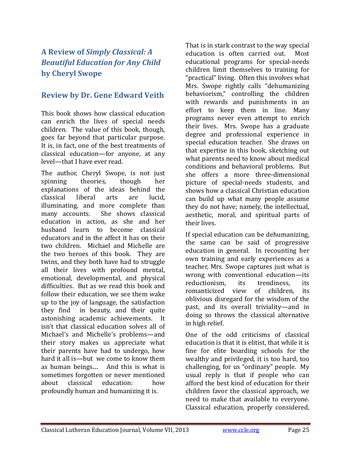## **A Review of** *Simply Classical: A Beautiful Education for Any Child* **by Cheryl Swope**

## **Review by Dr. Gene Edward Veith**

This book shows how classical education can enrich the lives of special needs children. The value of this book, though, goes far beyond that particular purpose. It is, in fact, one of the best treatments of classical education—for anyone, at any level—that I have ever read.

The author, Cheryl Swope, is not just spinning theories, though her explanations of the ideas behind the classical liberal arts are lucid, illuminating, and more complete than many accounts. She shows classical education in action, as she and her husband learn to become classical educators and in the affect it has on their two children. Michael and Michelle are the two heroes of this book. They are twins, and they both have had to struggle all their lives with profound mental, emotional, developmental, and physical difficulties. But as we read this book and follow their education, we see them wake up to the joy of language, the satisfaction they find in beauty, and their quite astonishing academic achievements. It isn't that classical education solves all of Michael's and Michelle's problems—and their story makes us appreciate what their parents have had to undergo, how hard it all is—but we come to know them as human beings.... And this is what is sometimes forgotten or never mentioned about classical education: how profoundly human and humanizing it is.

That is in stark contrast to the way special education is often carried out. Most educational programs for special-needs children limit themselves to training for "practical" living. Often this involves what Mrs. Swope rightly calls "dehumanizing behaviorism," controlling the children with rewards and punishments in an effort to keep them in line. Many programs never even attempt to enrich their lives. Mrs. Swope has a graduate degree and professional experience in special education teacher. She draws on that expertise in this book, sketching out what parents need to know about medical conditions and behavioral problems. But she offers a more three-dimensional picture of special-needs students, and shows how a classical Christian education can build up what many people assume they do not have; namely, the intellectual, aesthetic, moral, and spiritual parts of their lives.

If special education can be dehumanizing, the same can be said of progressive education in general. In recounting her own training and early experiences as a teacher, Mrs. Swope captures just what is wrong with conventional education—its reductionism, its trendiness, its romanticized view of children, its oblivious disregard for the wisdom of the past, and its overall triviality—and in doing so throws the classical alternative in high relief.

One of the odd criticisms of classical education is that it is elitist, that while it is fine for elite boarding schools for the wealthy and privileged, it is too hard, too challenging, for us "ordinary" people. My usual reply is that if people who can afford the best kind of education for their children favor the classical approach, we need to make that available to everyone. Classical education, properly considered,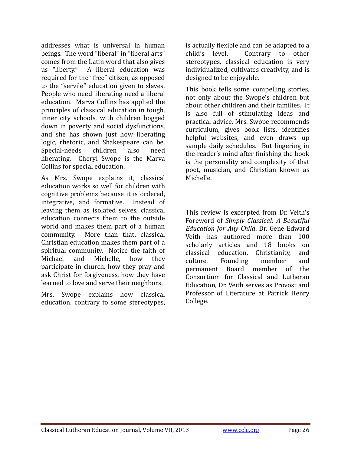addresses what is universal in human beings. The word "liberal" in "liberal arts" comes from the Latin word that also gives us "liberty." A liberal education was required for the "free" citizen, as opposed to the "servile" education given to slaves. People who need liberating need a liberal education. Marva Collins has applied the principles of classical education in tough, inner city schools, with children bogged down in poverty and social dysfunctions, and she has shown just how liberating logic, rhetoric, and Shakespeare can be. Special-needs children also need liberating. Cheryl Swope is the Marva Collins for special education.

As Mrs. Swope explains it, classical education works so well for children with cognitive problems because it is ordered, integrative, and formative. Instead of leaving them as isolated selves, classical education connects them to the outside world and makes them part of a human community. More than that, classical Christian education makes them part of a spiritual community. Notice the faith of Michael and Michelle, how they participate in church, how they pray and ask Christ for forgiveness, how they have learned to love and serve their neighbors.

Mrs. Swope explains how classical education, contrary to some stereotypes,

is actually flexible and can be adapted to a child's level. Contrary to other stereotypes, classical education is very individualized, cultivates creativity, and is designed to be enjoyable.

This book tells some compelling stories, not only about the Swope's children but about other children and their families. It is also full of stimulating ideas and practical advice. Mrs. Swope recommends curriculum, gives book lists, identifies helpful websites, and even draws up sample daily schedules. But lingering in the reader's mind after finishing the book is the personality and complexity of that poet, musician, and Christian known as Michelle.

This review is excerpted from Dr. Veith's Foreword of *Simply Classical: A Beautiful Education for Any Child*. Dr. Gene Edward Veith has authored more than 100 scholarly articles and 18 books on classical education, Christianity, and culture. Founding member and permanent Board member of the Consortium for Classical and Lutheran Education, Dr. Veith serves as Provost and Professor of Literature at Patrick Henry College.